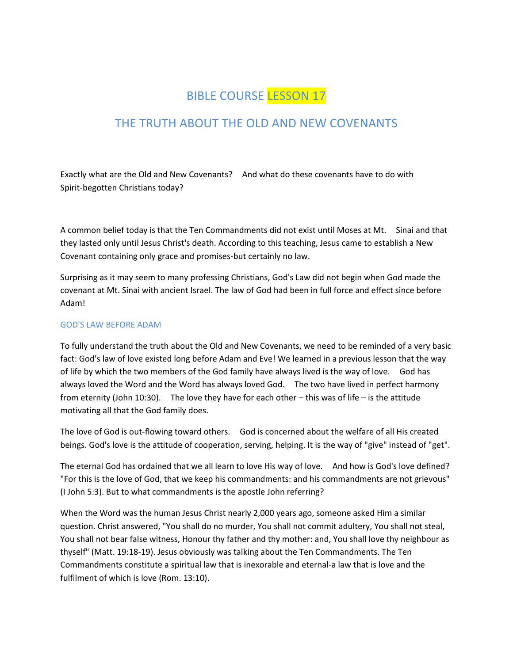# BIBLE COURSE LESSON 17

# THE TRUTH ABOUT THE OLD AND NEW COVENANTS

Exactly what are the Old and New Covenants? And what do these covenants have to do with Spirit-begotten Christians today?

A common belief today is that the Ten Commandments did not exist until Moses at Mt. Sinai and that they lasted only until Jesus Christ's death. According to this teaching, Jesus came to establish a New Covenant containing only grace and promises-but certainly no law.

Surprising as it may seem to many professing Christians, God's Law did not begin when God made the covenant at Mt. Sinai with ancient Israel. The law of God had been in full force and effect since before Adam!

#### GOD'S LAW BEFORE ADAM

To fully understand the truth about the Old and New Covenants, we need to be reminded of a very basic fact: God's law of love existed long before Adam and Eve! We learned in a previous lesson that the way of life by which the two members of the God family have always lived is the way of love. God has always loved the Word and the Word has always loved God. The two have lived in perfect harmony from eternity (John 10:30). The love they have for each other – this was of life – is the attitude motivating all that the God family does.

The love of God is out-flowing toward others. God is concerned about the welfare of all His created beings. God's love is the attitude of cooperation, serving, helping. It is the way of "give" instead of "get".

The eternal God has ordained that we all learn to love His way of love. And how is God's love defined? "For this is the love of God, that we keep his commandments: and his commandments are not grievous" (I John 5:3). But to what commandments is the apostle John referring?

When the Word was the human Jesus Christ nearly 2,000 years ago, someone asked Him a similar question. Christ answered, "You shall do no murder, You shall not commit adultery, You shall not steal, You shall not bear false witness, Honour thy father and thy mother: and, You shall love thy neighbour as thyself" (Matt. 19:18-19). Jesus obviously was talking about the Ten Commandments. The Ten Commandments constitute a spiritual law that is inexorable and eternal-a law that is love and the fulfilment of which is love (Rom. 13:10).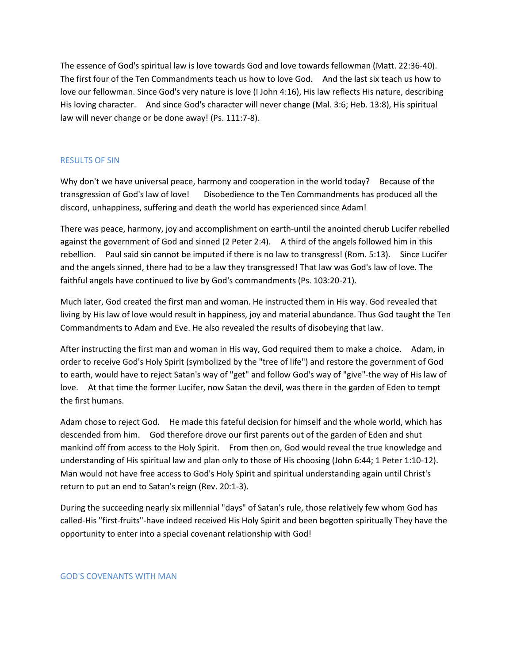The essence of God's spiritual law is love towards God and love towards fellowman (Matt. 22:36-40). The first four of the Ten Commandments teach us how to love God. And the last six teach us how to love our fellowman. Since God's very nature is love (I John 4:16), His law reflects His nature, describing His loving character. And since God's character will never change (Mal. 3:6; Heb. 13:8), His spiritual law will never change or be done away! (Ps. 111:7-8).

#### RESULTS OF SIN

Why don't we have universal peace, harmony and cooperation in the world today? Because of the transgression of God's law of love! Disobedience to the Ten Commandments has produced all the discord, unhappiness, suffering and death the world has experienced since Adam!

There was peace, harmony, joy and accomplishment on earth-until the anointed cherub Lucifer rebelled against the government of God and sinned (2 Peter 2:4). A third of the angels followed him in this rebellion. Paul said sin cannot be imputed if there is no law to transgress! (Rom. 5:13). Since Lucifer and the angels sinned, there had to be a law they transgressed! That law was God's law of love. The faithful angels have continued to live by God's commandments (Ps. 103:20-21).

Much later, God created the first man and woman. He instructed them in His way. God revealed that living by His law of love would result in happiness, joy and material abundance. Thus God taught the Ten Commandments to Adam and Eve. He also revealed the results of disobeying that law.

After instructing the first man and woman in His way, God required them to make a choice. Adam, in order to receive God's Holy Spirit (symbolized by the "tree of life") and restore the government of God to earth, would have to reject Satan's way of "get" and follow God's way of "give"-the way of His law of love. At that time the former Lucifer, now Satan the devil, was there in the garden of Eden to tempt the first humans.

Adam chose to reject God. He made this fateful decision for himself and the whole world, which has descended from him. God therefore drove our first parents out of the garden of Eden and shut mankind off from access to the Holy Spirit. From then on, God would reveal the true knowledge and understanding of His spiritual law and plan only to those of His choosing (John 6:44; 1 Peter 1:10-12). Man would not have free access to God's Holy Spirit and spiritual understanding again until Christ's return to put an end to Satan's reign (Rev. 20:1-3).

During the succeeding nearly six millennial "days" of Satan's rule, those relatively few whom God has called-His "first-fruits"-have indeed received His Holy Spirit and been begotten spiritually They have the opportunity to enter into a special covenant relationship with God!

GOD'S COVENANTS WITH MAN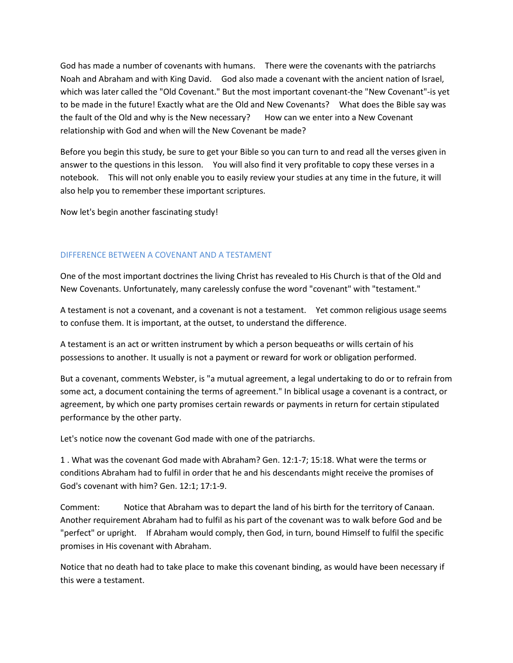God has made a number of covenants with humans. There were the covenants with the patriarchs Noah and Abraham and with King David. God also made a covenant with the ancient nation of Israel, which was later called the "Old Covenant." But the most important covenant-the "New Covenant"-is yet to be made in the future! Exactly what are the Old and New Covenants? What does the Bible say was the fault of the Old and why is the New necessary? How can we enter into a New Covenant relationship with God and when will the New Covenant be made?

Before you begin this study, be sure to get your Bible so you can turn to and read all the verses given in answer to the questions in this lesson. You will also find it very profitable to copy these verses in a notebook. This will not only enable you to easily review your studies at any time in the future, it will also help you to remember these important scriptures.

Now let's begin another fascinating study!

### DIFFERENCE BETWEEN A COVENANT AND A TESTAMENT

One of the most important doctrines the living Christ has revealed to His Church is that of the Old and New Covenants. Unfortunately, many carelessly confuse the word "covenant" with "testament."

A testament is not a covenant, and a covenant is not a testament. Yet common religious usage seems to confuse them. It is important, at the outset, to understand the difference.

A testament is an act or written instrument by which a person bequeaths or wills certain of his possessions to another. It usually is not a payment or reward for work or obligation performed.

But a covenant, comments Webster, is "a mutual agreement, a legal undertaking to do or to refrain from some act, a document containing the terms of agreement." In biblical usage a covenant is a contract, or agreement, by which one party promises certain rewards or payments in return for certain stipulated performance by the other party.

Let's notice now the covenant God made with one of the patriarchs.

1 . What was the covenant God made with Abraham? Gen. 12:1-7; 15:18. What were the terms or conditions Abraham had to fulfil in order that he and his descendants might receive the promises of God's covenant with him? Gen. 12:1; 17:1-9.

Comment: Notice that Abraham was to depart the land of his birth for the territory of Canaan. Another requirement Abraham had to fulfil as his part of the covenant was to walk before God and be "perfect" or upright. If Abraham would comply, then God, in turn, bound Himself to fulfil the specific promises in His covenant with Abraham.

Notice that no death had to take place to make this covenant binding, as would have been necessary if this were a testament.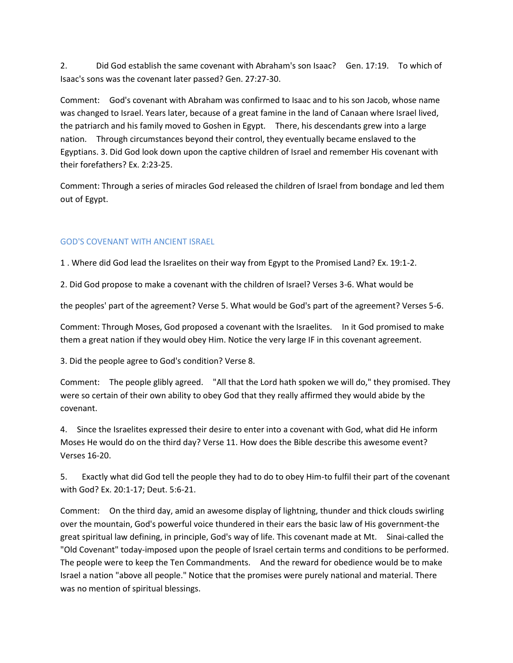2. Did God establish the same covenant with Abraham's son Isaac? Gen. 17:19. To which of Isaac's sons was the covenant later passed? Gen. 27:27-30.

Comment: God's covenant with Abraham was confirmed to Isaac and to his son Jacob, whose name was changed to Israel. Years later, because of a great famine in the land of Canaan where Israel lived, the patriarch and his family moved to Goshen in Egypt. There, his descendants grew into a large nation. Through circumstances beyond their control, they eventually became enslaved to the Egyptians. 3. Did God look down upon the captive children of Israel and remember His covenant with their forefathers? Ex. 2:23-25.

Comment: Through a series of miracles God released the children of Israel from bondage and led them out of Egypt.

# GOD'S COVENANT WITH ANCIENT ISRAEL

1 . Where did God lead the Israelites on their way from Egypt to the Promised Land? Ex. 19:1-2.

2. Did God propose to make a covenant with the children of Israel? Verses 3-6. What would be

the peoples' part of the agreement? Verse 5. What would be God's part of the agreement? Verses 5-6.

Comment: Through Moses, God proposed a covenant with the Israelites. In it God promised to make them a great nation if they would obey Him. Notice the very large IF in this covenant agreement.

3. Did the people agree to God's condition? Verse 8.

Comment: The people glibly agreed. "All that the Lord hath spoken we will do," they promised. They were so certain of their own ability to obey God that they really affirmed they would abide by the covenant.

4. Since the Israelites expressed their desire to enter into a covenant with God, what did He inform Moses He would do on the third day? Verse 11. How does the Bible describe this awesome event? Verses 16-20.

5. Exactly what did God tell the people they had to do to obey Him-to fulfil their part of the covenant with God? Ex. 20:1-17; Deut. 5:6-21.

Comment: On the third day, amid an awesome display of lightning, thunder and thick clouds swirling over the mountain, God's powerful voice thundered in their ears the basic law of His government-the great spiritual law defining, in principle, God's way of life. This covenant made at Mt. Sinai-called the "Old Covenant" today-imposed upon the people of Israel certain terms and conditions to be performed. The people were to keep the Ten Commandments. And the reward for obedience would be to make Israel a nation "above all people." Notice that the promises were purely national and material. There was no mention of spiritual blessings.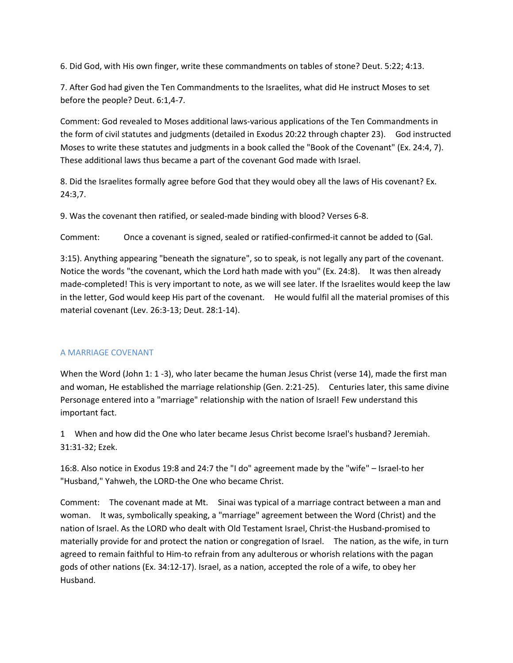6. Did God, with His own finger, write these commandments on tables of stone? Deut. 5:22; 4:13.

7. After God had given the Ten Commandments to the Israelites, what did He instruct Moses to set before the people? Deut. 6:1,4-7.

Comment: God revealed to Moses additional laws-various applications of the Ten Commandments in the form of civil statutes and judgments (detailed in Exodus 20:22 through chapter 23). God instructed Moses to write these statutes and judgments in a book called the "Book of the Covenant" (Ex. 24:4, 7). These additional laws thus became a part of the covenant God made with Israel.

8. Did the Israelites formally agree before God that they would obey all the laws of His covenant? Ex. 24:3,7.

9. Was the covenant then ratified, or sealed-made binding with blood? Verses 6-8.

Comment: Once a covenant is signed, sealed or ratified-confirmed-it cannot be added to (Gal.

3:15). Anything appearing "beneath the signature", so to speak, is not legally any part of the covenant. Notice the words "the covenant, which the Lord hath made with you" (Ex. 24:8). It was then already made-completed! This is very important to note, as we will see later. If the Israelites would keep the law in the letter, God would keep His part of the covenant. He would fulfil all the material promises of this material covenant (Lev. 26:3-13; Deut. 28:1-14).

# A MARRIAGE COVENANT

When the Word (John 1: 1 -3), who later became the human Jesus Christ (verse 14), made the first man and woman, He established the marriage relationship (Gen. 2:21-25). Centuries later, this same divine Personage entered into a "marriage" relationship with the nation of Israel! Few understand this important fact.

1 When and how did the One who later became Jesus Christ become Israel's husband? Jeremiah. 31:31-32; Ezek.

16:8. Also notice in Exodus 19:8 and 24:7 the "I do" agreement made by the "wife" – Israel-to her "Husband," Yahweh, the LORD-the One who became Christ.

Comment: The covenant made at Mt. Sinai was typical of a marriage contract between a man and woman. It was, symbolically speaking, a "marriage" agreement between the Word (Christ) and the nation of Israel. As the LORD who dealt with Old Testament Israel, Christ-the Husband-promised to materially provide for and protect the nation or congregation of Israel. The nation, as the wife, in turn agreed to remain faithful to Him-to refrain from any adulterous or whorish relations with the pagan gods of other nations (Ex. 34:12-17). Israel, as a nation, accepted the role of a wife, to obey her Husband.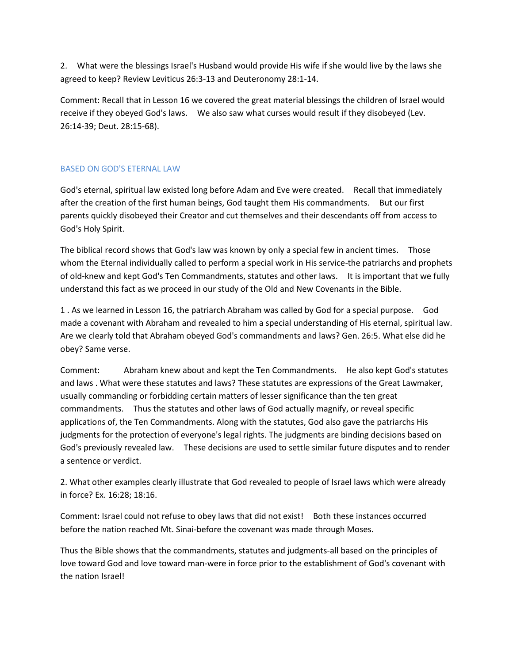2. What were the blessings Israel's Husband would provide His wife if she would live by the laws she agreed to keep? Review Leviticus 26:3-13 and Deuteronomy 28:1-14.

Comment: Recall that in Lesson 16 we covered the great material blessings the children of Israel would receive if they obeyed God's laws. We also saw what curses would result if they disobeyed (Lev. 26:14-39; Deut. 28:15-68).

# BASED ON GOD'S ETERNAL LAW

God's eternal, spiritual law existed long before Adam and Eve were created. Recall that immediately after the creation of the first human beings, God taught them His commandments. But our first parents quickly disobeyed their Creator and cut themselves and their descendants off from access to God's Holy Spirit.

The biblical record shows that God's law was known by only a special few in ancient times. Those whom the Eternal individually called to perform a special work in His service-the patriarchs and prophets of old-knew and kept God's Ten Commandments, statutes and other laws. It is important that we fully understand this fact as we proceed in our study of the Old and New Covenants in the Bible.

1 . As we learned in Lesson 16, the patriarch Abraham was called by God for a special purpose. God made a covenant with Abraham and revealed to him a special understanding of His eternal, spiritual law. Are we clearly told that Abraham obeyed God's commandments and laws? Gen. 26:5. What else did he obey? Same verse.

Comment: Abraham knew about and kept the Ten Commandments. He also kept God's statutes and laws . What were these statutes and laws? These statutes are expressions of the Great Lawmaker, usually commanding or forbidding certain matters of lesser significance than the ten great commandments. Thus the statutes and other laws of God actually magnify, or reveal specific applications of, the Ten Commandments. Along with the statutes, God also gave the patriarchs His judgments for the protection of everyone's legal rights. The judgments are binding decisions based on God's previously revealed law. These decisions are used to settle similar future disputes and to render a sentence or verdict.

2. What other examples clearly illustrate that God revealed to people of Israel laws which were already in force? Ex. 16:28; 18:16.

Comment: Israel could not refuse to obey laws that did not exist! Both these instances occurred before the nation reached Mt. Sinai-before the covenant was made through Moses.

Thus the Bible shows that the commandments, statutes and judgments-all based on the principles of love toward God and love toward man-were in force prior to the establishment of God's covenant with the nation Israel!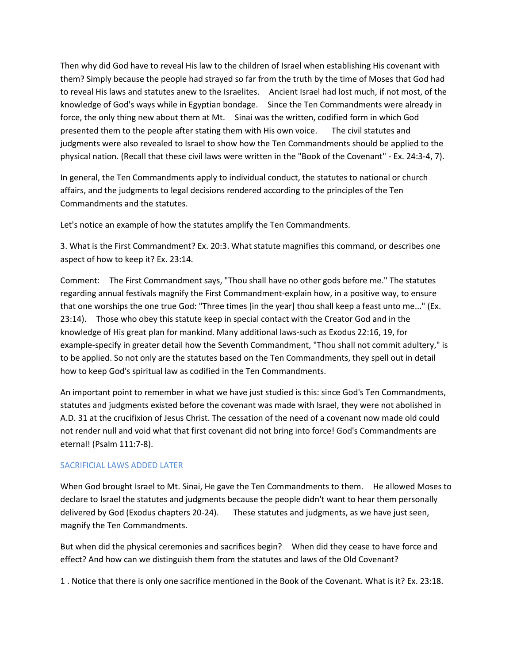Then why did God have to reveal His law to the children of Israel when establishing His covenant with them? Simply because the people had strayed so far from the truth by the time of Moses that God had to reveal His laws and statutes anew to the Israelites. Ancient Israel had lost much, if not most, of the knowledge of God's ways while in Egyptian bondage. Since the Ten Commandments were already in force, the only thing new about them at Mt. Sinai was the written, codified form in which God presented them to the people after stating them with His own voice. The civil statutes and judgments were also revealed to Israel to show how the Ten Commandments should be applied to the physical nation. (Recall that these civil laws were written in the "Book of the Covenant" - Ex. 24:3-4, 7).

In general, the Ten Commandments apply to individual conduct, the statutes to national or church affairs, and the judgments to legal decisions rendered according to the principles of the Ten Commandments and the statutes.

Let's notice an example of how the statutes amplify the Ten Commandments.

3. What is the First Commandment? Ex. 20:3. What statute magnifies this command, or describes one aspect of how to keep it? Ex. 23:14.

Comment: The First Commandment says, "Thou shall have no other gods before me." The statutes regarding annual festivals magnify the First Commandment-explain how, in a positive way, to ensure that one worships the one true God: "Three times [in the year] thou shall keep a feast unto me..." (Ex. 23:14). Those who obey this statute keep in special contact with the Creator God and in the knowledge of His great plan for mankind. Many additional laws-such as Exodus 22:16, 19, for example-specify in greater detail how the Seventh Commandment, "Thou shall not commit adultery," is to be applied. So not only are the statutes based on the Ten Commandments, they spell out in detail how to keep God's spiritual law as codified in the Ten Commandments.

An important point to remember in what we have just studied is this: since God's Ten Commandments, statutes and judgments existed before the covenant was made with Israel, they were not abolished in A.D. 31 at the crucifixion of Jesus Christ. The cessation of the need of a covenant now made old could not render null and void what that first covenant did not bring into force! God's Commandments are eternal! (Psalm 111:7-8).

# SACRIFICIAL LAWS ADDED LATER

When God brought Israel to Mt. Sinai, He gave the Ten Commandments to them. He allowed Moses to declare to Israel the statutes and judgments because the people didn't want to hear them personally delivered by God (Exodus chapters 20-24). These statutes and judgments, as we have just seen, magnify the Ten Commandments.

But when did the physical ceremonies and sacrifices begin? When did they cease to have force and effect? And how can we distinguish them from the statutes and laws of the Old Covenant?

1 . Notice that there is only one sacrifice mentioned in the Book of the Covenant. What is it? Ex. 23:18.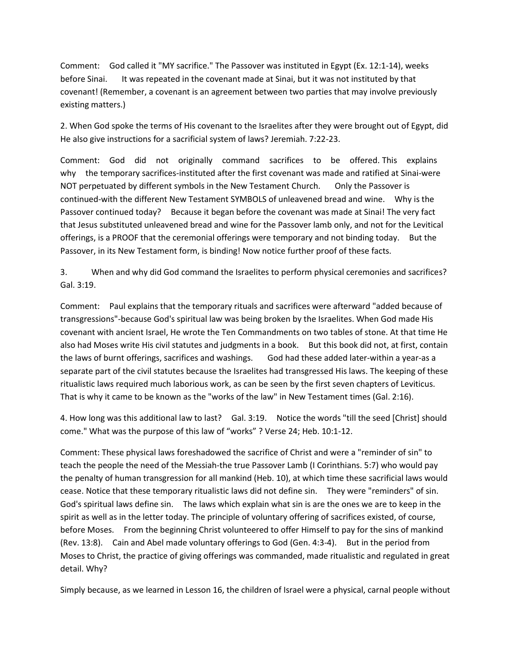Comment: God called it "MY sacrifice." The Passover was instituted in Egypt (Ex. 12:1-14), weeks before Sinai. It was repeated in the covenant made at Sinai, but it was not instituted by that covenant! (Remember, a covenant is an agreement between two parties that may involve previously existing matters.)

2. When God spoke the terms of His covenant to the Israelites after they were brought out of Egypt, did He also give instructions for a sacrificial system of laws? Jeremiah. 7:22-23.

Comment: God did not originally command sacrifices to be offered. This explains why the temporary sacrifices-instituted after the first covenant was made and ratified at Sinai-were NOT perpetuated by different symbols in the New Testament Church. Only the Passover is continued-with the different New Testament SYMBOLS of unleavened bread and wine. Why is the Passover continued today? Because it began before the covenant was made at Sinai! The very fact that Jesus substituted unleavened bread and wine for the Passover lamb only, and not for the Levitical offerings, is a PROOF that the ceremonial offerings were temporary and not binding today. But the Passover, in its New Testament form, is binding! Now notice further proof of these facts.

3. When and why did God command the Israelites to perform physical ceremonies and sacrifices? Gal. 3:19.

Comment: Paul explains that the temporary rituals and sacrifices were afterward "added because of transgressions"-because God's spiritual law was being broken by the Israelites. When God made His covenant with ancient Israel, He wrote the Ten Commandments on two tables of stone. At that time He also had Moses write His civil statutes and judgments in a book. But this book did not, at first, contain the laws of burnt offerings, sacrifices and washings. God had these added later-within a year-as a separate part of the civil statutes because the Israelites had transgressed His laws. The keeping of these ritualistic laws required much laborious work, as can be seen by the first seven chapters of Leviticus. That is why it came to be known as the "works of the law" in New Testament times (Gal. 2:16).

4. How long was this additional law to last? Gal. 3:19. Notice the words "till the seed [Christ] should come." What was the purpose of this law of "works" ? Verse 24; Heb. 10:1-12.

Comment: These physical laws foreshadowed the sacrifice of Christ and were a "reminder of sin" to teach the people the need of the Messiah-the true Passover Lamb (I Corinthians. 5:7) who would pay the penalty of human transgression for all mankind (Heb. 10), at which time these sacrificial laws would cease. Notice that these temporary ritualistic laws did not define sin. They were "reminders" of sin. God's spiritual laws define sin. The laws which explain what sin is are the ones we are to keep in the spirit as well as in the letter today. The principle of voluntary offering of sacrifices existed, of course, before Moses. From the beginning Christ volunteered to offer Himself to pay for the sins of mankind (Rev. 13:8). Cain and Abel made voluntary offerings to God (Gen. 4:3-4). But in the period from Moses to Christ, the practice of giving offerings was commanded, made ritualistic and regulated in great detail. Why?

Simply because, as we learned in Lesson 16, the children of Israel were a physical, carnal people without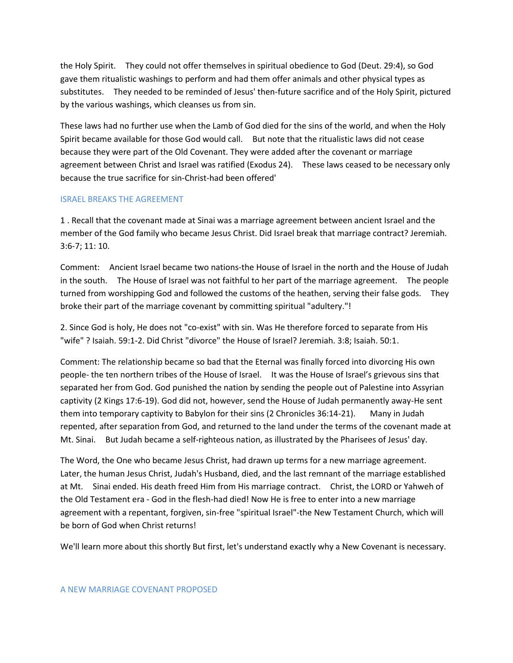the Holy Spirit. They could not offer themselves in spiritual obedience to God (Deut. 29:4), so God gave them ritualistic washings to perform and had them offer animals and other physical types as substitutes. They needed to be reminded of Jesus' then-future sacrifice and of the Holy Spirit, pictured by the various washings, which cleanses us from sin.

These laws had no further use when the Lamb of God died for the sins of the world, and when the Holy Spirit became available for those God would call. But note that the ritualistic laws did not cease because they were part of the Old Covenant. They were added after the covenant or marriage agreement between Christ and Israel was ratified (Exodus 24). These laws ceased to be necessary only because the true sacrifice for sin-Christ-had been offered'

#### ISRAEL BREAKS THE AGREEMENT

1 . Recall that the covenant made at Sinai was a marriage agreement between ancient Israel and the member of the God family who became Jesus Christ. Did Israel break that marriage contract? Jeremiah. 3:6-7; 11: 10.

Comment: Ancient Israel became two nations-the House of Israel in the north and the House of Judah in the south. The House of Israel was not faithful to her part of the marriage agreement. The people turned from worshipping God and followed the customs of the heathen, serving their false gods. They broke their part of the marriage covenant by committing spiritual "adultery."!

2. Since God is holy, He does not "co-exist" with sin. Was He therefore forced to separate from His "wife" ? Isaiah. 59:1-2. Did Christ "divorce" the House of Israel? Jeremiah. 3:8; Isaiah. 50:1.

Comment: The relationship became so bad that the Eternal was finally forced into divorcing His own people- the ten northern tribes of the House of Israel. It was the House of Israel's grievous sins that separated her from God. God punished the nation by sending the people out of Palestine into Assyrian captivity (2 Kings 17:6-19). God did not, however, send the House of Judah permanently away-He sent them into temporary captivity to Babylon for their sins (2 Chronicles 36:14-21). Many in Judah repented, after separation from God, and returned to the land under the terms of the covenant made at Mt. Sinai. But Judah became a self-righteous nation, as illustrated by the Pharisees of Jesus' day.

The Word, the One who became Jesus Christ, had drawn up terms for a new marriage agreement. Later, the human Jesus Christ, Judah's Husband, died, and the last remnant of the marriage established at Mt. Sinai ended. His death freed Him from His marriage contract. Christ, the LORD or Yahweh of the Old Testament era - God in the flesh-had died! Now He is free to enter into a new marriage agreement with a repentant, forgiven, sin-free "spiritual Israel"-the New Testament Church, which will be born of God when Christ returns!

We'll learn more about this shortly But first, let's understand exactly why a New Covenant is necessary.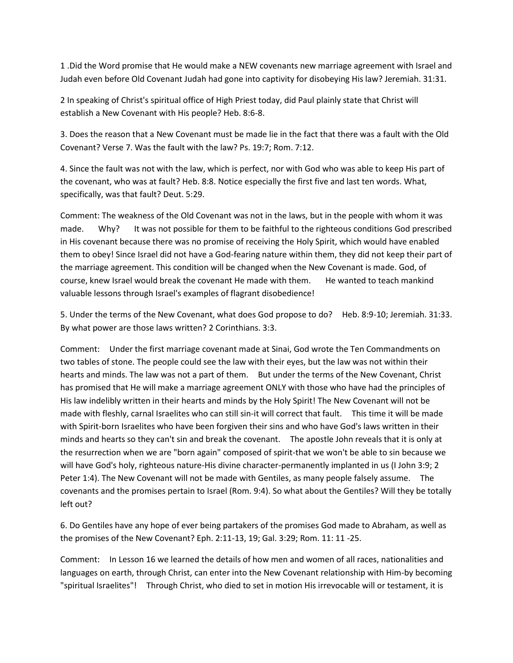1 .Did the Word promise that He would make a NEW covenants new marriage agreement with Israel and Judah even before Old Covenant Judah had gone into captivity for disobeying His law? Jeremiah. 31:31.

2 In speaking of Christ's spiritual office of High Priest today, did Paul plainly state that Christ will establish a New Covenant with His people? Heb. 8:6-8.

3. Does the reason that a New Covenant must be made lie in the fact that there was a fault with the Old Covenant? Verse 7. Was the fault with the law? Ps. 19:7; Rom. 7:12.

4. Since the fault was not with the law, which is perfect, nor with God who was able to keep His part of the covenant, who was at fault? Heb. 8:8. Notice especially the first five and last ten words. What, specifically, was that fault? Deut. 5:29.

Comment: The weakness of the Old Covenant was not in the laws, but in the people with whom it was made. Why? It was not possible for them to be faithful to the righteous conditions God prescribed in His covenant because there was no promise of receiving the Holy Spirit, which would have enabled them to obey! Since Israel did not have a God-fearing nature within them, they did not keep their part of the marriage agreement. This condition will be changed when the New Covenant is made. God, of course, knew Israel would break the covenant He made with them. He wanted to teach mankind valuable lessons through Israel's examples of flagrant disobedience!

5. Under the terms of the New Covenant, what does God propose to do? Heb. 8:9-10; Jeremiah. 31:33. By what power are those laws written? 2 Corinthians. 3:3.

Comment: Under the first marriage covenant made at Sinai, God wrote the Ten Commandments on two tables of stone. The people could see the law with their eyes, but the law was not within their hearts and minds. The law was not a part of them. But under the terms of the New Covenant, Christ has promised that He will make a marriage agreement ONLY with those who have had the principles of His law indelibly written in their hearts and minds by the Holy Spirit! The New Covenant will not be made with fleshly, carnal Israelites who can still sin-it will correct that fault. This time it will be made with Spirit-born Israelites who have been forgiven their sins and who have God's laws written in their minds and hearts so they can't sin and break the covenant. The apostle John reveals that it is only at the resurrection when we are "born again" composed of spirit-that we won't be able to sin because we will have God's holy, righteous nature-His divine character-permanently implanted in us (I John 3:9; 2 Peter 1:4). The New Covenant will not be made with Gentiles, as many people falsely assume. The covenants and the promises pertain to Israel (Rom. 9:4). So what about the Gentiles? Will they be totally left out?

6. Do Gentiles have any hope of ever being partakers of the promises God made to Abraham, as well as the promises of the New Covenant? Eph. 2:11-13, 19; Gal. 3:29; Rom. 11: 11 -25.

Comment: In Lesson 16 we learned the details of how men and women of all races, nationalities and languages on earth, through Christ, can enter into the New Covenant relationship with Him-by becoming "spiritual Israelites"! Through Christ, who died to set in motion His irrevocable will or testament, it is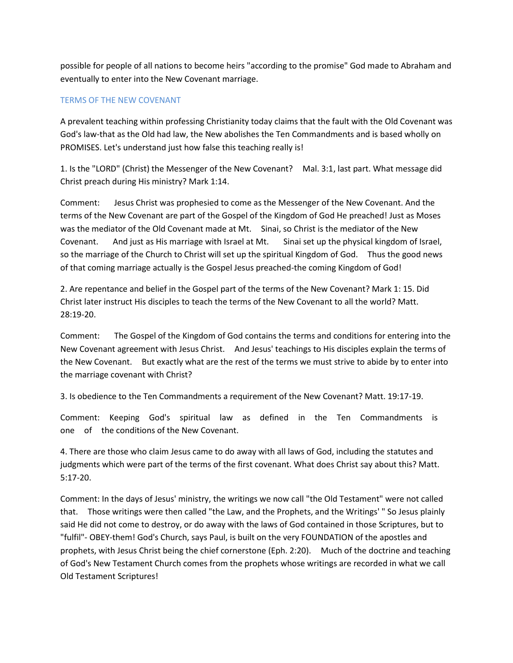possible for people of all nations to become heirs "according to the promise" God made to Abraham and eventually to enter into the New Covenant marriage.

#### TERMS OF THE NEW COVENANT

A prevalent teaching within professing Christianity today claims that the fault with the Old Covenant was God's law-that as the Old had law, the New abolishes the Ten Commandments and is based wholly on PROMISES. Let's understand just how false this teaching really is!

1. Is the "LORD" (Christ) the Messenger of the New Covenant? Mal. 3:1, last part. What message did Christ preach during His ministry? Mark 1:14.

Comment: Jesus Christ was prophesied to come as the Messenger of the New Covenant. And the terms of the New Covenant are part of the Gospel of the Kingdom of God He preached! Just as Moses was the mediator of the Old Covenant made at Mt. Sinai, so Christ is the mediator of the New Covenant. And just as His marriage with Israel at Mt. Sinai set up the physical kingdom of Israel, so the marriage of the Church to Christ will set up the spiritual Kingdom of God. Thus the good news of that coming marriage actually is the Gospel Jesus preached-the coming Kingdom of God!

2. Are repentance and belief in the Gospel part of the terms of the New Covenant? Mark 1: 15. Did Christ later instruct His disciples to teach the terms of the New Covenant to all the world? Matt. 28:19-20.

Comment: The Gospel of the Kingdom of God contains the terms and conditions for entering into the New Covenant agreement with Jesus Christ. And Jesus' teachings to His disciples explain the terms of the New Covenant. But exactly what are the rest of the terms we must strive to abide by to enter into the marriage covenant with Christ?

3. Is obedience to the Ten Commandments a requirement of the New Covenant? Matt. 19:17-19.

Comment: Keeping God's spiritual law as defined in the Ten Commandments is one of the conditions of the New Covenant.

4. There are those who claim Jesus came to do away with all laws of God, including the statutes and judgments which were part of the terms of the first covenant. What does Christ say about this? Matt. 5:17-20.

Comment: In the days of Jesus' ministry, the writings we now call "the Old Testament" were not called that. Those writings were then called "the Law, and the Prophets, and the Writings' " So Jesus plainly said He did not come to destroy, or do away with the laws of God contained in those Scriptures, but to "fulfil"- OBEY-them! God's Church, says Paul, is built on the very FOUNDATION of the apostles and prophets, with Jesus Christ being the chief cornerstone (Eph. 2:20). Much of the doctrine and teaching of God's New Testament Church comes from the prophets whose writings are recorded in what we call Old Testament Scriptures!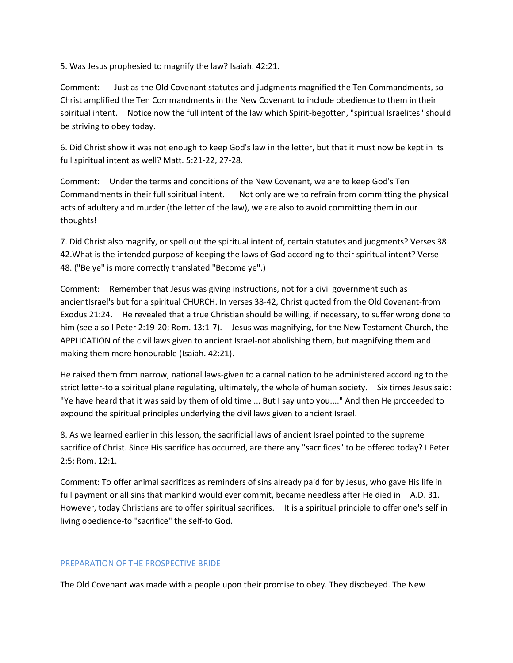5. Was Jesus prophesied to magnify the law? Isaiah. 42:21.

Comment: Just as the Old Covenant statutes and judgments magnified the Ten Commandments, so Christ amplified the Ten Commandments in the New Covenant to include obedience to them in their spiritual intent. Notice now the full intent of the law which Spirit-begotten, "spiritual Israelites" should be striving to obey today.

6. Did Christ show it was not enough to keep God's law in the letter, but that it must now be kept in its full spiritual intent as well? Matt. 5:21-22, 27-28.

Comment: Under the terms and conditions of the New Covenant, we are to keep God's Ten Commandments in their full spiritual intent. Not only are we to refrain from committing the physical acts of adultery and murder (the letter of the law), we are also to avoid committing them in our thoughts!

7. Did Christ also magnify, or spell out the spiritual intent of, certain statutes and judgments? Verses 38 42.What is the intended purpose of keeping the laws of God according to their spiritual intent? Verse 48. ("Be ye" is more correctly translated "Become ye".)

Comment: Remember that Jesus was giving instructions, not for a civil government such as ancientIsrael's but for a spiritual CHURCH. In verses 38-42, Christ quoted from the Old Covenant-from Exodus 21:24. He revealed that a true Christian should be willing, if necessary, to suffer wrong done to him (see also I Peter 2:19-20; Rom. 13:1-7). Jesus was magnifying, for the New Testament Church, the APPLICATION of the civil laws given to ancient Israel-not abolishing them, but magnifying them and making them more honourable (Isaiah. 42:21).

He raised them from narrow, national laws-given to a carnal nation to be administered according to the strict letter-to a spiritual plane regulating, ultimately, the whole of human society. Six times Jesus said: "Ye have heard that it was said by them of old time ... But I say unto you...." And then He proceeded to expound the spiritual principles underlying the civil laws given to ancient Israel.

8. As we learned earlier in this lesson, the sacrificial laws of ancient Israel pointed to the supreme sacrifice of Christ. Since His sacrifice has occurred, are there any "sacrifices" to be offered today? I Peter 2:5; Rom. 12:1.

Comment: To offer animal sacrifices as reminders of sins already paid for by Jesus, who gave His life in full payment or all sins that mankind would ever commit, became needless after He died in A.D. 31. However, today Christians are to offer spiritual sacrifices. It is a spiritual principle to offer one's self in living obedience-to "sacrifice" the self-to God.

#### PREPARATION OF THE PROSPECTIVE BRIDE

The Old Covenant was made with a people upon their promise to obey. They disobeyed. The New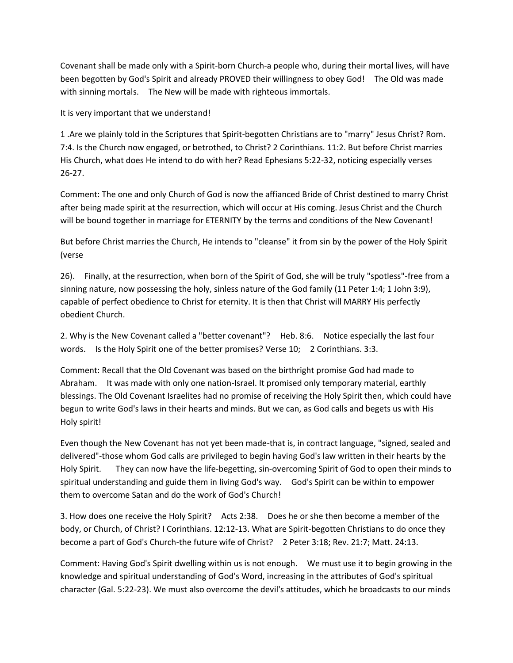Covenant shall be made only with a Spirit-born Church-a people who, during their mortal lives, will have been begotten by God's Spirit and already PROVED their willingness to obey God! The Old was made with sinning mortals. The New will be made with righteous immortals.

It is very important that we understand!

1 .Are we plainly told in the Scriptures that Spirit-begotten Christians are to "marry" Jesus Christ? Rom. 7:4. Is the Church now engaged, or betrothed, to Christ? 2 Corinthians. 11:2. But before Christ marries His Church, what does He intend to do with her? Read Ephesians 5:22-32, noticing especially verses 26-27.

Comment: The one and only Church of God is now the affianced Bride of Christ destined to marry Christ after being made spirit at the resurrection, which will occur at His coming. Jesus Christ and the Church will be bound together in marriage for ETERNITY by the terms and conditions of the New Covenant!

But before Christ marries the Church, He intends to "cleanse" it from sin by the power of the Holy Spirit (verse

26). Finally, at the resurrection, when born of the Spirit of God, she will be truly "spotless"-free from a sinning nature, now possessing the holy, sinless nature of the God family (11 Peter 1:4; 1 John 3:9), capable of perfect obedience to Christ for eternity. It is then that Christ will MARRY His perfectly obedient Church.

2. Why is the New Covenant called a "better covenant"? Heb. 8:6. Notice especially the last four words. Is the Holy Spirit one of the better promises? Verse 10; 2 Corinthians. 3:3.

Comment: Recall that the Old Covenant was based on the birthright promise God had made to Abraham. It was made with only one nation-Israel. It promised only temporary material, earthly blessings. The Old Covenant Israelites had no promise of receiving the Holy Spirit then, which could have begun to write God's laws in their hearts and minds. But we can, as God calls and begets us with His Holy spirit!

Even though the New Covenant has not yet been made-that is, in contract language, "signed, sealed and delivered"-those whom God calls are privileged to begin having God's law written in their hearts by the Holy Spirit. They can now have the life-begetting, sin-overcoming Spirit of God to open their minds to spiritual understanding and guide them in living God's way. God's Spirit can be within to empower them to overcome Satan and do the work of God's Church!

3. How does one receive the Holy Spirit? Acts 2:38. Does he or she then become a member of the body, or Church, of Christ? I Corinthians. 12:12-13. What are Spirit-begotten Christians to do once they become a part of God's Church-the future wife of Christ? 2 Peter 3:18; Rev. 21:7; Matt. 24:13.

Comment: Having God's Spirit dwelling within us is not enough. We must use it to begin growing in the knowledge and spiritual understanding of God's Word, increasing in the attributes of God's spiritual character (Gal. 5:22-23). We must also overcome the devil's attitudes, which he broadcasts to our minds